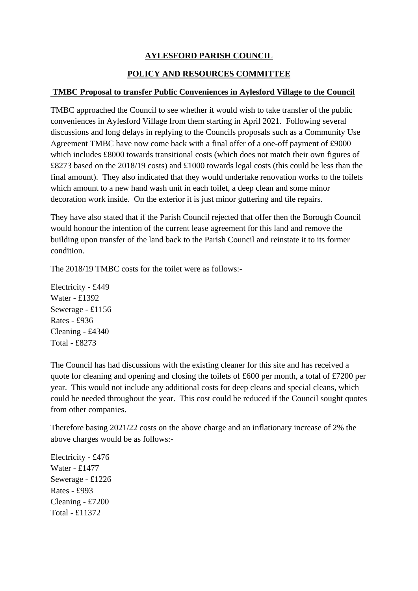## **AYLESFORD PARISH COUNCIL**

## **POLICY AND RESOURCES COMMITTEE**

## **TMBC Proposal to transfer Public Conveniences in Aylesford Village to the Council**

TMBC approached the Council to see whether it would wish to take transfer of the public conveniences in Aylesford Village from them starting in April 2021. Following several discussions and long delays in replying to the Councils proposals such as a Community Use Agreement TMBC have now come back with a final offer of a one-off payment of £9000 which includes £8000 towards transitional costs (which does not match their own figures of £8273 based on the 2018/19 costs) and £1000 towards legal costs (this could be less than the final amount). They also indicated that they would undertake renovation works to the toilets which amount to a new hand wash unit in each toilet, a deep clean and some minor decoration work inside. On the exterior it is just minor guttering and tile repairs.

They have also stated that if the Parish Council rejected that offer then the Borough Council would honour the intention of the current lease agreement for this land and remove the building upon transfer of the land back to the Parish Council and reinstate it to its former condition.

The 2018/19 TMBC costs for the toilet were as follows:-

Electricity - £449 Water - £1392 Sewerage - £1156 Rates - £936 Cleaning - £4340 Total - £8273

The Council has had discussions with the existing cleaner for this site and has received a quote for cleaning and opening and closing the toilets of £600 per month, a total of £7200 per year. This would not include any additional costs for deep cleans and special cleans, which could be needed throughout the year. This cost could be reduced if the Council sought quotes from other companies.

Therefore basing 2021/22 costs on the above charge and an inflationary increase of 2% the above charges would be as follows:-

Electricity - £476 Water - £1477 Sewerage - £1226 Rates - £993 Cleaning - £7200 Total - £11372